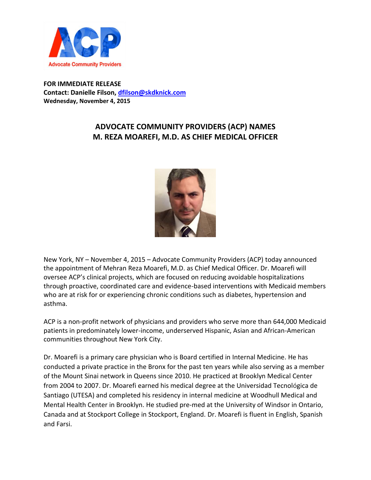

**FOR IMMEDIATE RELEASE Contact: Danielle Filson, [dfilson@skdknick.com](mailto:dfilson@skdknick.com) Wednesday, November 4, 2015**

## **ADVOCATE COMMUNITY PROVIDERS (ACP) NAMES M. REZA MOAREFI, M.D. AS CHIEF MEDICAL OFFICER**



New York, NY – November 4, 2015 – Advocate Community Providers (ACP) today announced the appointment of Mehran Reza Moarefi, M.D. as Chief Medical Officer. Dr. Moarefi will oversee ACP's clinical projects, which are focused on reducing avoidable hospitalizations through proactive, coordinated care and evidence-based interventions with Medicaid members who are at risk for or experiencing chronic conditions such as diabetes, hypertension and asthma.

ACP is a non-profit network of physicians and providers who serve more than 644,000 Medicaid patients in predominately lower-income, underserved Hispanic, Asian and African-American communities throughout New York City.

Dr. Moarefi is a primary care physician who is Board certified in Internal Medicine. He has conducted a private practice in the Bronx for the past ten years while also serving as a member of the Mount Sinai network in Queens since 2010. He practiced at Brooklyn Medical Center from 2004 to 2007. Dr. Moarefi earned his medical degree at the Universidad Tecnológica de Santiago (UTESA) and completed his residency in internal medicine at Woodhull Medical and Mental Health Center in Brooklyn. He studied pre-med at the University of Windsor in Ontario, Canada and at Stockport College in Stockport, England. Dr. Moarefi is fluent in English, Spanish and Farsi.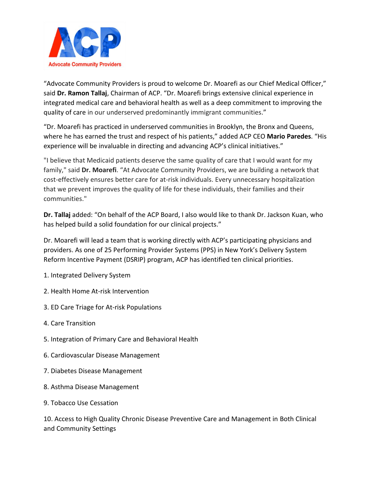

"Advocate Community Providers is proud to welcome Dr. Moarefi as our Chief Medical Officer," said **Dr. Ramon Tallaj**, Chairman of ACP. "Dr. Moarefi brings extensive clinical experience in integrated medical care and behavioral health as well as a deep commitment to improving the quality of care in our underserved predominantly immigrant communities."

"Dr. Moarefi has practiced in underserved communities in Brooklyn, the Bronx and Queens, where he has earned the trust and respect of his patients," added ACP CEO **Mario Paredes**. "His experience will be invaluable in directing and advancing ACP's clinical initiatives."

"I believe that Medicaid patients deserve the same quality of care that I would want for my family," said **Dr. Moarefi**. "At Advocate Community Providers, we are building a network that cost-effectively ensures better care for at-risk individuals. Every unnecessary hospitalization that we prevent improves the quality of life for these individuals, their families and their communities."

**Dr. Tallaj** added: "On behalf of the ACP Board, I also would like to thank Dr. Jackson Kuan, who has helped build a solid foundation for our clinical projects."

Dr. Moarefi will lead a team that is working directly with ACP's participating physicians and providers. As one of 25 Performing Provider Systems (PPS) in New York's Delivery System Reform Incentive Payment (DSRIP) program, ACP has identified ten clinical priorities.

- 1. Integrated Delivery System
- 2. Health Home At-risk Intervention
- 3. ED Care Triage for At-risk Populations
- 4. Care Transition
- 5. Integration of Primary Care and Behavioral Health
- 6. Cardiovascular Disease Management
- 7. Diabetes Disease Management
- 8. Asthma Disease Management
- 9. Tobacco Use Cessation

10. Access to High Quality Chronic Disease Preventive Care and Management in Both Clinical and Community Settings